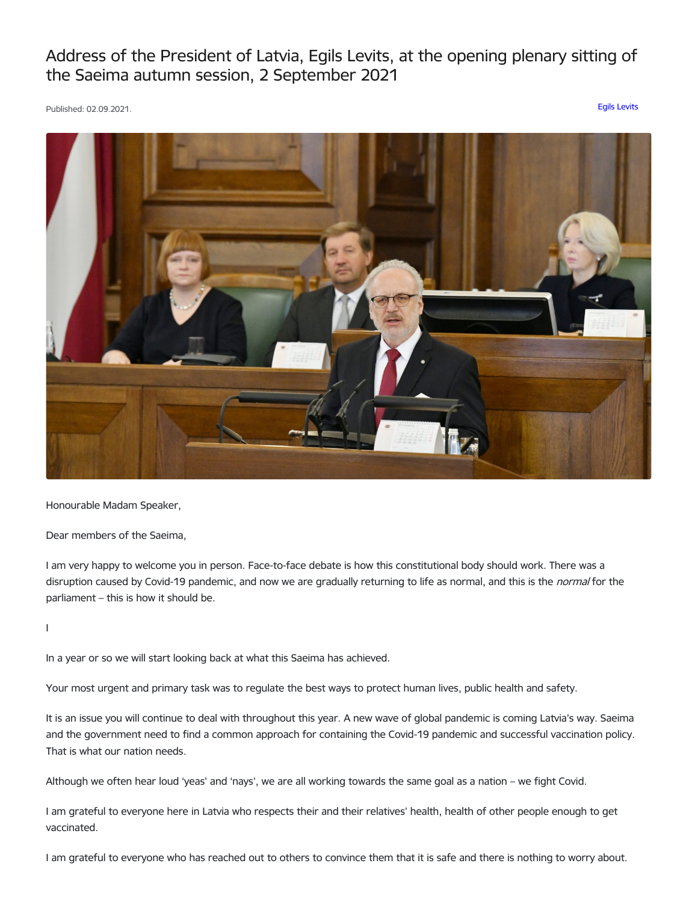Address of the President of Latvia, Egils Levits, at the opening plenary sitting of the Saeima autumn session, 2 September 2021

Published: 02.09.2021. Egils [Levits](https://www.president.lv/en/articles?category%255B277%255D=277)



Honourable Madam Speaker,

Dear members of the Saeima,

I am very happy to welcome you in person. Face-to-face debate is how this constitutional body should work. There was a disruption caused by Covid-19 pandemic, and now we are gradually returning to life as normal, and this is the normal for the parliament – this is how it should be.

I

In a year or so we will start looking back at what this Saeima has achieved.

Your most urgent and primary task was to regulate the best ways to protect human lives, public health and safety.

It is an issue you will continue to deal with throughout this year. A new wave of global pandemic is coming Latvia's way. Saeima and the government need to find a common approach for containing the Covid-19 pandemic and successful vaccination policy. That is what our nation needs.

Although we often hear loud 'yeas' and 'nays', we are all working towards the same goal as a nation – we fight Covid.

I am grateful to everyone here in Latvia who respects their and their relatives' health, health of other people enough to get vaccinated.

I am grateful to everyone who has reached out to others to convince them that it is safe and there is nothing to worry about.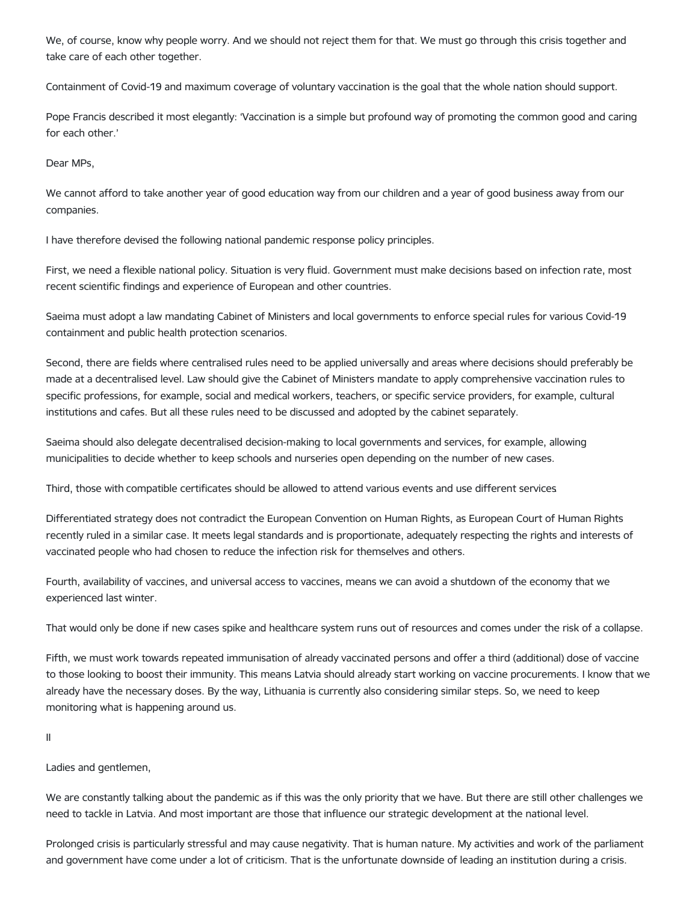We, of course, know why people worry. And we should not reject them for that. We must go through this crisis together and take care of each other together.

Containment of Covid-19 and maximum coverage of voluntary vaccination is the goal that the whole nation should support.

Pope Francis described it most elegantly: 'Vaccination is a simple but profound way of promoting the common good and caring for each other.'

Dear MPs,

We cannot afford to take another year of good education way from our children and a year of good business away from our companies.

I have therefore devised the following national pandemic response policy principles.

First, we need a flexible national policy. Situation is very fluid. Government must make decisions based on infection rate, most recent scientific findings and experience of European and other countries.

Saeima must adopt a law mandating Cabinet of Ministers and local governments to enforce special rules for various Covid-19 containment and public health protection scenarios.

Second, there are fields where centralised rules need to be applied universally and areas where decisions should preferably be made at a decentralised level. Law should give the Cabinet of Ministers mandate to apply comprehensive vaccination rules to specific professions, for example, social and medical workers, teachers, or specific service providers, for example, cultural institutions and cafes. But all these rules need to be discussed and adopted by the cabinet separately.

Saeima should also delegate decentralised decision-making to local governments and services, for example, allowing municipalities to decide whether to keep schools and nurseries open depending on the number of new cases.

Third, those with compatible certificates should be allowed to attend various events and use different services.

Differentiated strategy does not contradict the European Convention on Human Rights, as European Court of Human Rights recently ruled in a similar case. It meets legal standards and is proportionate, adequately respecting the rights and interests of vaccinated people who had chosen to reduce the infection risk for themselves and others.

Fourth, availability of vaccines, and universal access to vaccines, means we can avoid a shutdown of the economy that we experienced last winter.

That would only be done if new cases spike and healthcare system runs out of resources and comes under the risk of a collapse.

Fifth, we must work towards repeated immunisation of already vaccinated persons and offer a third (additional) dose of vaccine to those looking to boost their immunity. This means Latvia should already start working on vaccine procurements. I know that we already have the necessary doses. By the way, Lithuania is currently also considering similar steps. So, we need to keep monitoring what is happening around us.

II

Ladies and gentlemen,

We are constantly talking about the pandemic as if this was the only priority that we have. But there are still other challenges we need to tackle in Latvia. And most important are those that influence our strategic development at the national level.

Prolonged crisis is particularly stressful and may cause negativity. That is human nature. My activities and work of the parliament and government have come under a lot of criticism. That is the unfortunate downside of leading an institution during a crisis.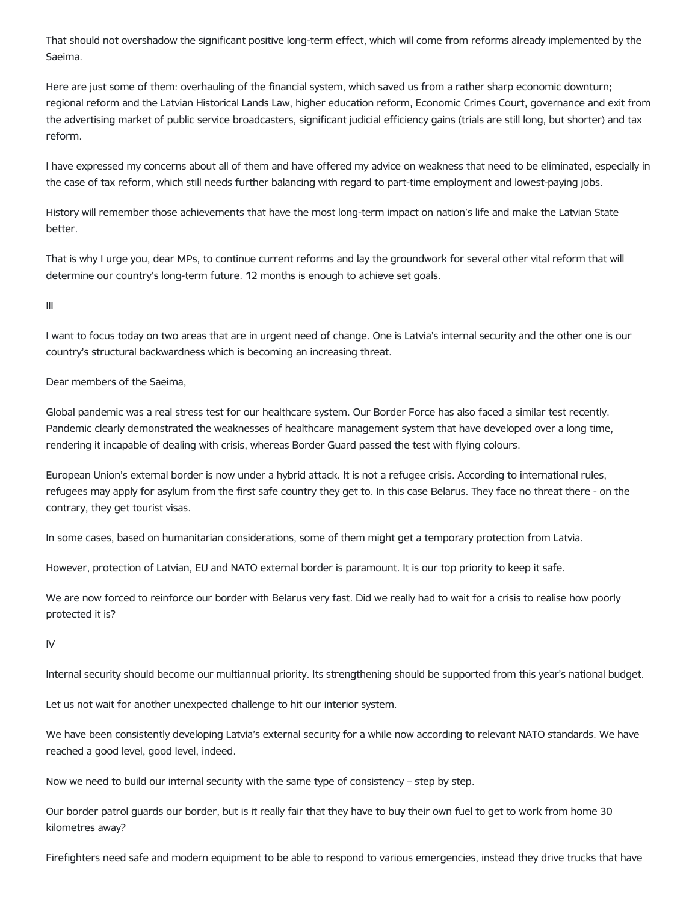That should not overshadow the significant positive long-term effect, which will come from reforms already implemented by the Saeima.

Here are just some of them: overhauling of the financial system, which saved us from a rather sharp economic downturn; regional reform and the Latvian Historical Lands Law, higher education reform, Economic Crimes Court, governance and exit from the advertising market of public service broadcasters, significant judicial efficiency gains (trials are still long, but shorter) and tax reform.

I have expressed my concerns about all of them and have offered my advice on weakness that need to be eliminated, especially in the case of tax reform, which still needs further balancing with regard to part-time employment and lowest-paying jobs.

History will remember those achievements that have the most long-term impact on nation's life and make the Latvian State better.

That is why I urge you, dear MPs, to continue current reforms and lay the groundwork for several other vital reform that will determine our country's long-term future. 12 months is enough to achieve set goals.

III

I want to focus today on two areas that are in urgent need of change. One is Latvia's internal security and the other one is our country's structural backwardness which is becoming an increasing threat.

Dear members of the Saeima,

Global pandemic was a real stress test for our healthcare system. Our Border Force has also faced a similar test recently. Pandemic clearly demonstrated the weaknesses of healthcare management system that have developed over a long time, rendering it incapable of dealing with crisis, whereas Border Guard passed the test with flying colours.

European Union's external border is now under a hybrid attack. It is not a refugee crisis. According to international rules, refugees may apply for asylum from the first safe country they get to. In this case Belarus. They face no threat there - on the contrary, they get tourist visas.

In some cases, based on humanitarian considerations, some of them might get a temporary protection from Latvia.

However, protection of Latvian, EU and NATO external border is paramount. It is our top priority to keep it safe.

We are now forced to reinforce our border with Belarus very fast. Did we really had to wait for a crisis to realise how poorly protected it is?

IV

Internal security should become our multiannual priority. Its strengthening should be supported from this year's national budget.

Let us not wait for another unexpected challenge to hit our interior system.

We have been consistently developing Latvia's external security for a while now according to relevant NATO standards. We have reached a good level, good level, indeed.

Now we need to build our internal security with the same type of consistency – step by step.

Our border patrol guards our border, but is it really fair that they have to buy their own fuel to get to work from home 30 kilometres away?

Firefighters need safe and modern equipment to be able to respond to various emergencies, instead they drive trucks that have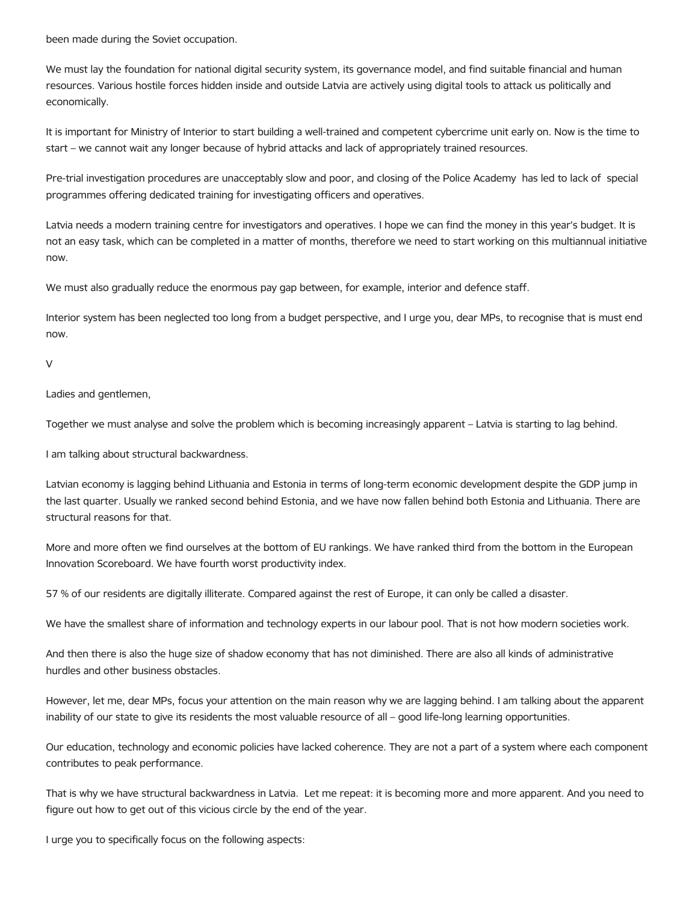been made during the Soviet occupation.

We must lay the foundation for national digital security system, its governance model, and find suitable financial and human resources. Various hostile forces hidden inside and outside Latvia are actively using digital tools to attack us politically and economically.

It is important for Ministry of Interior to start building a well-trained and competent cybercrime unit early on. Now is the time to start – we cannot wait any longer because of hybrid attacks and lack of appropriately trained resources.

Pre-trial investigation procedures are unacceptably slow and poor, and closing of the Police Academy has led to lack of special programmes offering dedicated training for investigating officers and operatives.

Latvia needs a modern training centre for investigators and operatives. I hope we can find the money in this year's budget. It is not an easy task, which can be completed in a matter of months, therefore we need to start working on this multiannual initiative now.

We must also gradually reduce the enormous pay gap between, for example, interior and defence staff.

Interior system has been neglected too long from a budget perspective, and I urge you, dear MPs, to recognise that is must end now.

 $\sqrt{2}$ 

Ladies and gentlemen,

Together we must analyse and solve the problem which is becoming increasingly apparent – Latvia is starting to lag behind.

I am talking about structural backwardness.

Latvian economy is lagging behind Lithuania and Estonia in terms of long-term economic development despite the GDP jump in the last quarter. Usually we ranked second behind Estonia, and we have now fallen behind both Estonia and Lithuania. There are structural reasons for that.

More and more often we find ourselves at the bottom of EU rankings. We have ranked third from the bottom in the European Innovation Scoreboard. We have fourth worst productivity index.

57 % of our residents are digitally illiterate. Compared against the rest of Europe, it can only be called a disaster.

We have the smallest share of information and technology experts in our labour pool. That is not how modern societies work.

And then there is also the huge size of shadow economy that has not diminished. There are also all kinds of administrative hurdles and other business obstacles.

However, let me, dear MPs, focus your attention on the main reason why we are lagging behind. I am talking about the apparent inability of our state to give its residents the most valuable resource of all – good life-long learning opportunities.

Our education, technology and economic policies have lacked coherence. They are not a part of a system where each component contributes to peak performance.

That is why we have structural backwardness in Latvia. Let me repeat: it is becoming more and more apparent. And you need to figure out how to get out of this vicious circle by the end of the year.

I urge you to specifically focus on the following aspects: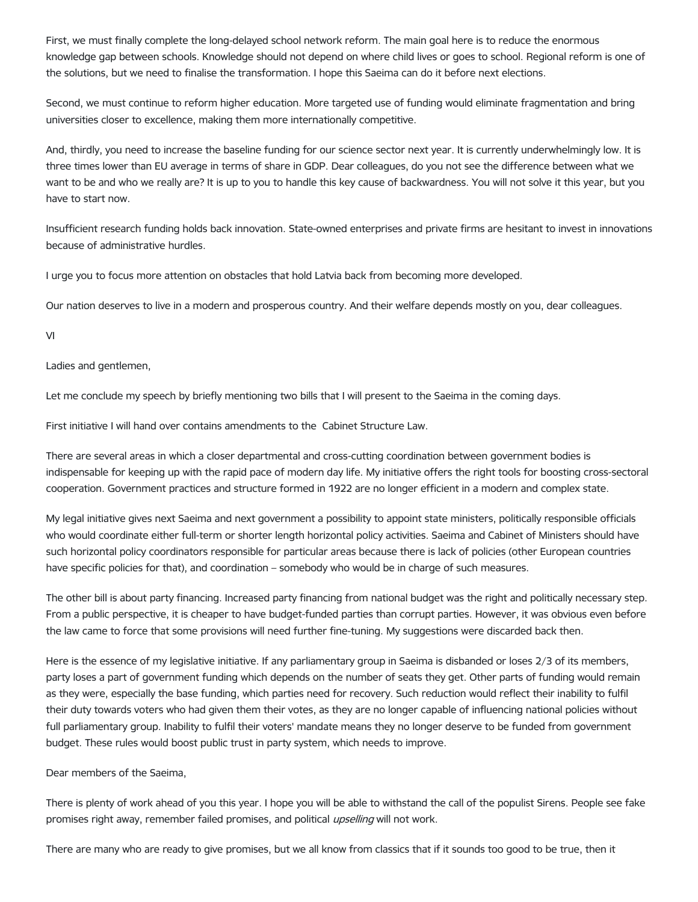First, we must finally complete the long-delayed school network reform. The main goal here is to reduce the enormous knowledge gap between schools. Knowledge should not depend on where child lives or goes to school. Regional reform is one of the solutions, but we need to finalise the transformation. I hope this Saeima can do it before next elections.

Second, we must continue to reform higher education. More targeted use of funding would eliminate fragmentation and bring universities closer to excellence, making them more internationally competitive.

And, thirdly, you need to increase the baseline funding for our science sector next year. It is currently underwhelmingly low. It is three times lower than EU average in terms of share in GDP. Dear colleagues, do you not see the difference between what we want to be and who we really are? It is up to you to handle this key cause of backwardness. You will not solve it this year, but you have to start now.

Insufficient research funding holds back innovation. State-owned enterprises and private firms are hesitant to invest in innovations because of administrative hurdles.

I urge you to focus more attention on obstacles that hold Latvia back from becoming more developed.

Our nation deserves to live in a modern and prosperous country. And their welfare depends mostly on you, dear colleagues.

VI

Ladies and gentlemen,

Let me conclude my speech by briefly mentioning two bills that I will present to the Saeima in the coming days.

First initiative I will hand over contains amendments to the Cabinet Structure Law.

There are several areas in which a closer departmental and cross-cutting coordination between government bodies is indispensable for keeping up with the rapid pace of modern day life. My initiative offers the right tools for boosting cross-sectoral cooperation. Government practices and structure formed in 1922 are no longer efficient in a modern and complex state.

My legal initiative gives next Saeima and next government a possibility to appoint state ministers, politically responsible officials who would coordinate either full-term or shorter length horizontal policy activities. Saeima and Cabinet of Ministers should have such horizontal policy coordinators responsible for particular areas because there is lack of policies (other European countries have specific policies for that), and coordination – somebody who would be in charge of such measures.

The other bill is about party financing. Increased party financing from national budget was the right and politically necessary step. From a public perspective, it is cheaper to have budget-funded parties than corrupt parties. However, it was obvious even before the law came to force that some provisions will need further fine-tuning. My suggestions were discarded back then.

Here is the essence of my legislative initiative. If any parliamentary group in Saeima is disbanded or loses 2/3 of its members, party loses a part of government funding which depends on the number of seats they get. Other parts of funding would remain as they were, especially the base funding, which parties need for recovery. Such reduction would reflect their inability to fulfil their duty towards voters who had given them their votes, as they are no longer capable of influencing national policies without full parliamentary group. Inability to fulfil their voters' mandate means they no longer deserve to be funded from government budget. These rules would boost public trust in party system, which needs to improve.

Dear members of the Saeima,

There is plenty of work ahead of you this year. I hope you will be able to withstand the call of the populist Sirens. People see fake promises right away, remember failed promises, and political upselling will not work.

There are many who are ready to give promises, but we all know from classics that if it sounds too good to be true, then it